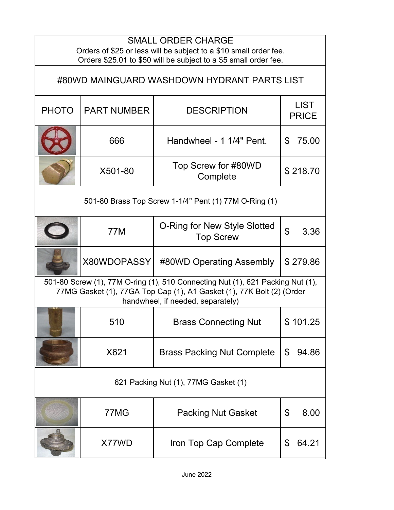| <b>SMALL ORDER CHARGE</b><br>Orders of \$25 or less will be subject to a \$10 small order fee.<br>Orders \$25.01 to \$50 will be subject to a \$5 small order fee.                           |                    |                                                  |                             |  |  |  |
|----------------------------------------------------------------------------------------------------------------------------------------------------------------------------------------------|--------------------|--------------------------------------------------|-----------------------------|--|--|--|
| #80WD MAINGUARD WASHDOWN HYDRANT PARTS LIST                                                                                                                                                  |                    |                                                  |                             |  |  |  |
| <b>PHOTO</b>                                                                                                                                                                                 | <b>PART NUMBER</b> | <b>DESCRIPTION</b>                               | <b>LIST</b><br><b>PRICE</b> |  |  |  |
|                                                                                                                                                                                              | 666                | Handwheel - 1 1/4" Pent.                         | \$<br>75.00                 |  |  |  |
|                                                                                                                                                                                              | X501-80            | Top Screw for #80WD<br>Complete                  | \$218.70                    |  |  |  |
| 501-80 Brass Top Screw 1-1/4" Pent (1) 77M O-Ring (1)                                                                                                                                        |                    |                                                  |                             |  |  |  |
|                                                                                                                                                                                              | 77M                | O-Ring for New Style Slotted<br><b>Top Screw</b> | $\mathfrak{L}$<br>3.36      |  |  |  |
|                                                                                                                                                                                              | X80WDOPASSY        | #80WD Operating Assembly                         | \$279.86                    |  |  |  |
| 501-80 Screw (1), 77M O-ring (1), 510 Connecting Nut (1), 621 Packing Nut (1),<br>77MG Gasket (1), 77GA Top Cap (1), A1 Gasket (1), 77K Bolt (2) (Order<br>handwheel, if needed, separately) |                    |                                                  |                             |  |  |  |
|                                                                                                                                                                                              | 510                | <b>Brass Connecting Nut</b>                      | \$101.25                    |  |  |  |
|                                                                                                                                                                                              | X621               | <b>Brass Packing Nut Complete</b>                | \$<br>94.86                 |  |  |  |
| 621 Packing Nut (1), 77MG Gasket (1)                                                                                                                                                         |                    |                                                  |                             |  |  |  |
|                                                                                                                                                                                              | 77MG               | <b>Packing Nut Gasket</b>                        | \$<br>8.00                  |  |  |  |
|                                                                                                                                                                                              | X77WD              | Iron Top Cap Complete                            | 64.21<br>\$                 |  |  |  |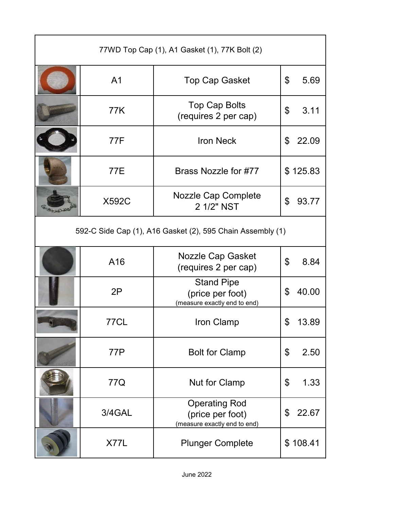| 77WD Top Cap (1), A1 Gasket (1), 77K Bolt (2)              |                |                                                                          |             |  |  |  |
|------------------------------------------------------------|----------------|--------------------------------------------------------------------------|-------------|--|--|--|
|                                                            | A <sub>1</sub> | <b>Top Cap Gasket</b>                                                    | \$<br>5.69  |  |  |  |
|                                                            | 77K            | <b>Top Cap Bolts</b><br>(requires 2 per cap)                             | \$<br>3.11  |  |  |  |
|                                                            | 77F            | <b>Iron Neck</b>                                                         | \$<br>22.09 |  |  |  |
|                                                            | 77E            | Brass Nozzle for #77                                                     | \$125.83    |  |  |  |
|                                                            | <b>X592C</b>   | <b>Nozzle Cap Complete</b><br>2 1/2" NST                                 | \$<br>93.77 |  |  |  |
| 592-C Side Cap (1), A16 Gasket (2), 595 Chain Assembly (1) |                |                                                                          |             |  |  |  |
|                                                            | A16            | Nozzle Cap Gasket<br>(requires 2 per cap)                                | \$<br>8.84  |  |  |  |
|                                                            | 2P             | <b>Stand Pipe</b><br>(price per foot)<br>(measure exactly end to end)    | 40.00<br>\$ |  |  |  |
|                                                            | 77CL           | Iron Clamp                                                               | \$<br>13.89 |  |  |  |
|                                                            | 77P            | <b>Bolt for Clamp</b>                                                    | \$<br>2.50  |  |  |  |
|                                                            | 77Q            | <b>Nut for Clamp</b>                                                     | \$<br>1.33  |  |  |  |
|                                                            | 3/4GAL         | <b>Operating Rod</b><br>(price per foot)<br>(measure exactly end to end) | 22.67<br>\$ |  |  |  |
|                                                            | X77L           | <b>Plunger Complete</b>                                                  | \$108.41    |  |  |  |